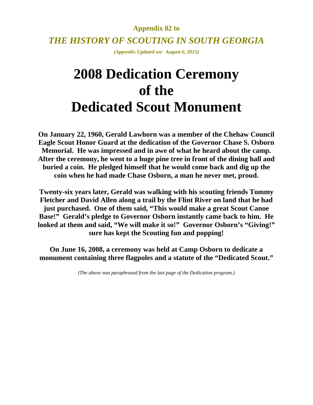**Appendix 82 to**  *THE HISTORY OF SCOUTING IN SOUTH GEORGIA* 

*(Appendix Updated on: August 6, 2015)* 

## **2008 Dedication Ceremony of the Dedicated Scout Monument**

**On January 22, 1960, Gerald Lawhorn was a member of the Chehaw Council Eagle Scout Honor Guard at the dedication of the Governor Chase S. Osborn Memorial. He was impressed and in awe of what he heard about the camp. After the ceremony, he went to a huge pine tree in front of the dining hall and buried a coin. He pledged himself that he would come back and dig up the coin when he had made Chase Osborn, a man he never met, proud.** 

**Twenty-six years later, Gerald was walking with his scouting friends Tommy Fletcher and David Allen along a trail by the Flint River on land that he had just purchased. One of them said, "This would make a great Scout Canoe Base!" Gerald's pledge to Governor Osborn instantly came back to him. He looked at them and said, "We will make it so!" Governor Osborn's "Giving!" sure has kept the Scouting fun and popping!** 

**On June 16, 2008, a ceremony was held at Camp Osborn to dedicate a monument containing three flagpoles and a statute of the "Dedicated Scout."** 

*(The above was paraphrased from the last page of the Dedication program.)*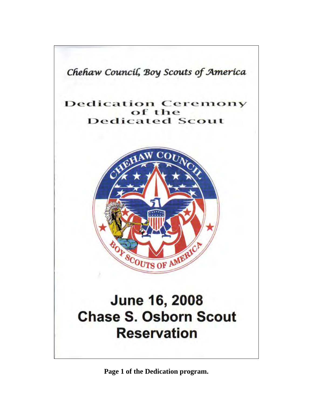

**Page 1 of the Dedication program.**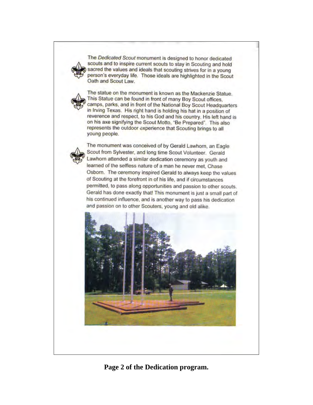The Dedicated Scout monument is designed to honor dedicated scouts and to inspire current scouts to stay in Scouting and hold sacred the values and ideals that scouting strives for in a young person's everyday life. Those ideals are highlighted in the Scout Oath and Scout Law.



The statue on the monument is known as the Mackenzie Statue. This Statue can be found in front of many Boy Scout offices. camps, parks, and in front of the National Boy Scout Headquarters in Irving Texas. His right hand is holding his hat in a position of reverence and respect, to his God and his country. His left hand is on his axe signifying the Scout Motto, "Be Prepared". This also represents the outdoor experience that Scouting brings to all young people.



The monument was conceived of by Gerald Lawhorn, an Eagle Scout from Sylvester, and long time Scout Volunteer. Gerald Lawhorn attended a similar dedication ceremony as youth and learned of the selfless nature of a man he never met, Chase Osborn. The ceremony inspired Gerald to always keep the values of Scouting at the forefront in of his life, and if circumstances permitted, to pass along opportunities and passion to other scouts. Gerald has done exactly that! This monument is just a small part of his continued influence, and is another way to pass his dedication and passion on to other Scouters, young and old alike.



**Page 2 of the Dedication program.**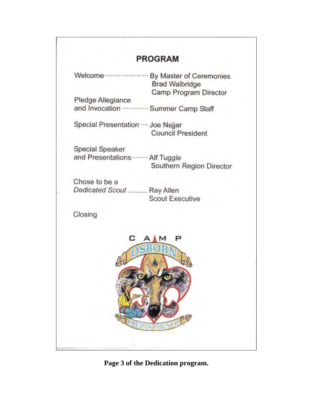

**Page 3 of the Dedication program.**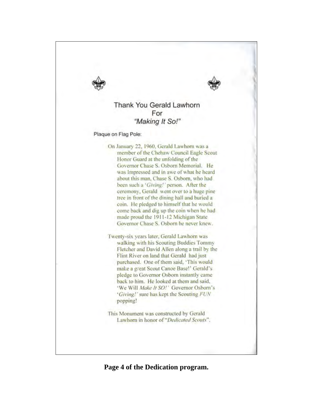



## Thank You Gerald Lawhorn For "Making It So!"

Plaque on Flag Pole:

On January 22, 1960, Gerald Lawhorn was a member of the Chehaw Council Eagle Scout Honor Guard at the unfolding of the Governor Chase S. Osborn Memorial. He was Impressed and in awe of what he heard about this man, Chase S. Osborn, who had been such a 'Giving!' person. After the ceremony, Gerald went over to a huge pine tree in front of the dining hall and buried a coin. He pledged to himself that he would come back and dig up the coin when he had made proud the 1911-12 Michigan State Governor Chase S. Osborn he never knew.

Twenty-six years later, Gerald Lawhorn was walking with his Scouting Buddies Tommy Fletcher and David Allen along a trail by the Flint River on land that Gerald had just purchased. One of them said, 'This would make a great Scout Canoe Base!' Gerald's pledge to Governor Osborn instantly came back to him. He looked at them and said, 'We Will Make It SO!' Governor Osborn's *'Giving!'* sure has kept the Scouting FUN popping!

This Monument was constructed by Gerald Lawhorn in honor of "Dedicated Scouts".

## Page 4 of the Dedication program.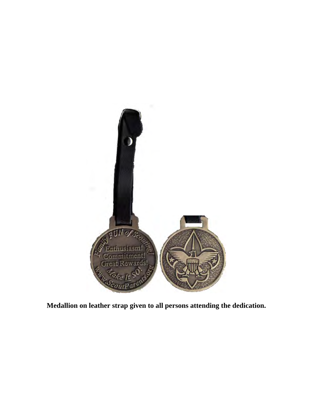

**Medallion on leather strap given to all persons attending the dedication.**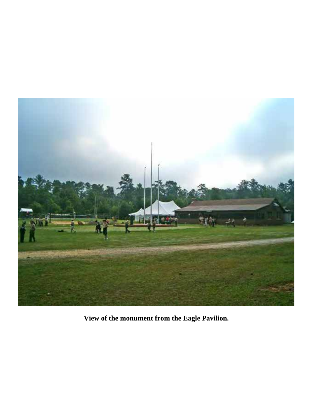

**View of the monument from the Eagle Pavilion.**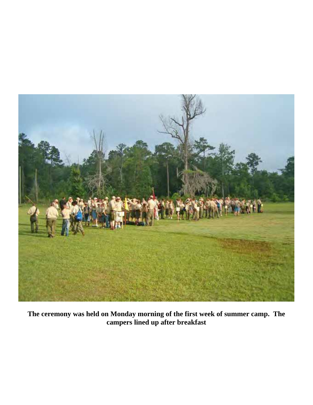

**The ceremony was held on Monday morning of the first week of summer camp. The campers lined up after breakfast**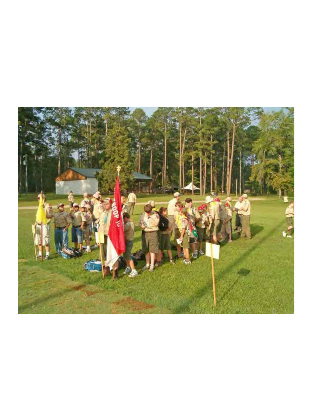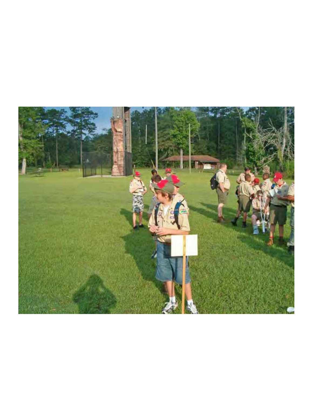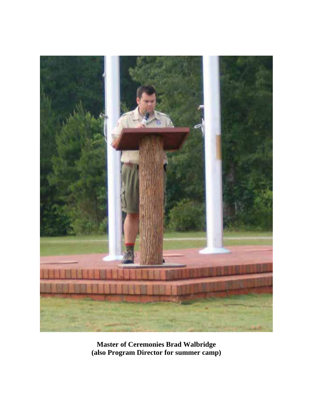

**Master of Ceremonies Brad Walbridge (also Program Director for summer camp)**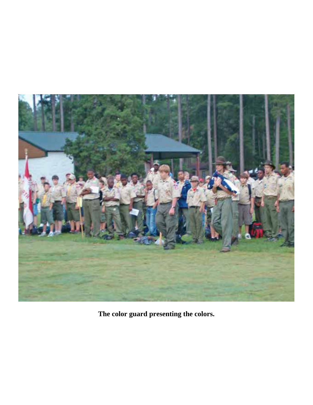

**The color guard presenting the colors.**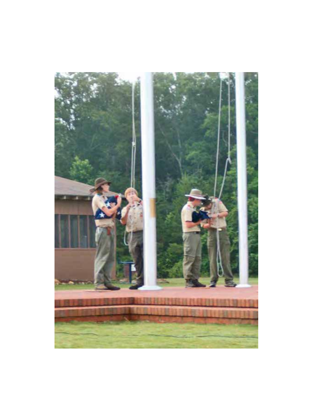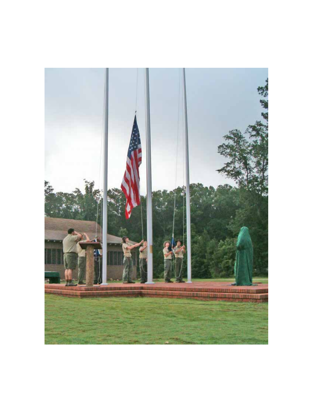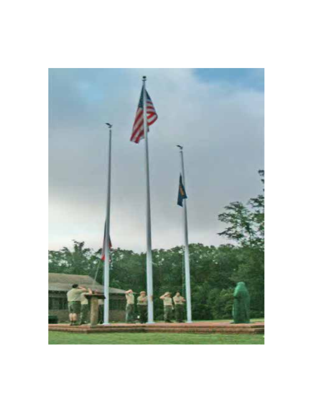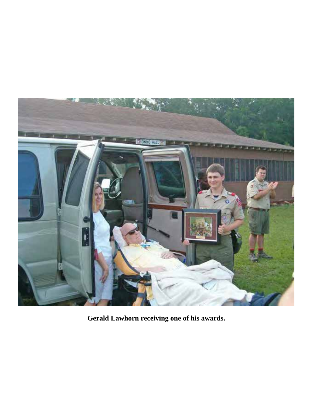

**Gerald Lawhorn receiving one of his awards.**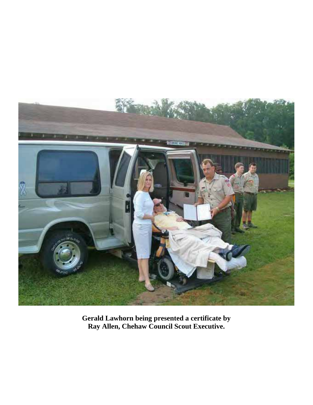

**Gerald Lawhorn being presented a certificate by Ray Allen, Chehaw Council Scout Executive.**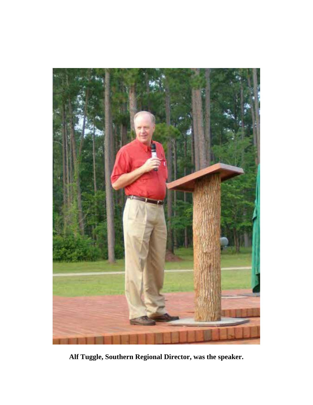

**Alf Tuggle, Southern Regional Director, was the speaker.**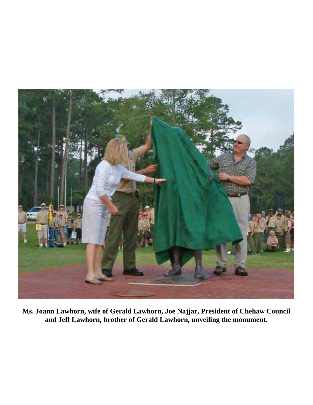

**Ms. Joann Lawhorn, wife of Gerald Lawhorn, Joe Najjar, President of Chehaw Council and Jeff Lawhorn, brother of Gerald Lawhorn, unveiling the monument.**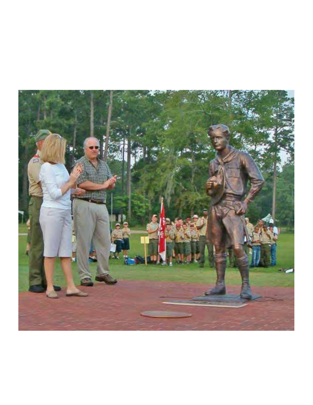